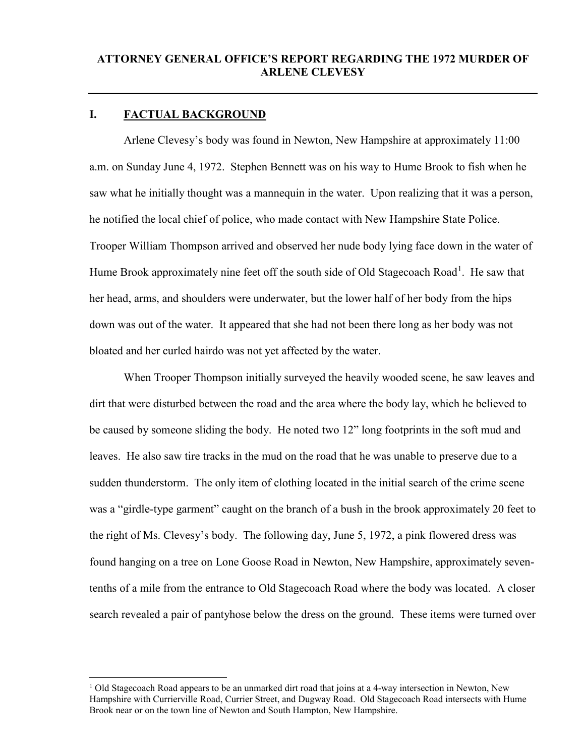## **I. FACTUAL BACKGROUND**

 $\overline{a}$ 

Arlene Clevesy's body was found in Newton, New Hampshire at approximately 11:00 a.m. on Sunday June 4, 1972. Stephen Bennett was on his way to Hume Brook to fish when he saw what he initially thought was a mannequin in the water. Upon realizing that it was a person, he notified the local chief of police, who made contact with New Hampshire State Police. Trooper William Thompson arrived and observed her nude body lying face down in the water of Hume Brook approximately nine feet off the south side of Old Stagecoach Road<sup>[1](#page-0-0)</sup>. He saw that her head, arms, and shoulders were underwater, but the lower half of her body from the hips down was out of the water. It appeared that she had not been there long as her body was not bloated and her curled hairdo was not yet affected by the water.

When Trooper Thompson initially surveyed the heavily wooded scene, he saw leaves and dirt that were disturbed between the road and the area where the body lay, which he believed to be caused by someone sliding the body. He noted two 12" long footprints in the soft mud and leaves. He also saw tire tracks in the mud on the road that he was unable to preserve due to a sudden thunderstorm. The only item of clothing located in the initial search of the crime scene was a "girdle-type garment" caught on the branch of a bush in the brook approximately 20 feet to the right of Ms. Clevesy's body. The following day, June 5, 1972, a pink flowered dress was found hanging on a tree on Lone Goose Road in Newton, New Hampshire, approximately seventenths of a mile from the entrance to Old Stagecoach Road where the body was located. A closer search revealed a pair of pantyhose below the dress on the ground. These items were turned over

<span id="page-0-0"></span><sup>&</sup>lt;sup>1</sup> Old Stagecoach Road appears to be an unmarked dirt road that joins at a 4-way intersection in Newton, New Hampshire with Currierville Road, Currier Street, and Dugway Road. Old Stagecoach Road intersects with Hume Brook near or on the town line of Newton and South Hampton, New Hampshire.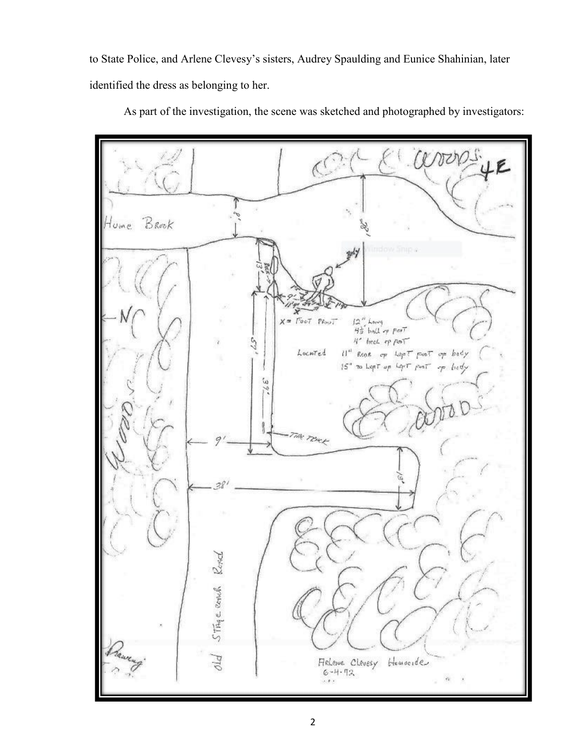to State Police, and Arlene Clevesy's sisters, Audrey Spaulding and Eunice Shahinian, later identified the dress as belonging to her.



As part of the investigation, the scene was sketched and photographed by investigators: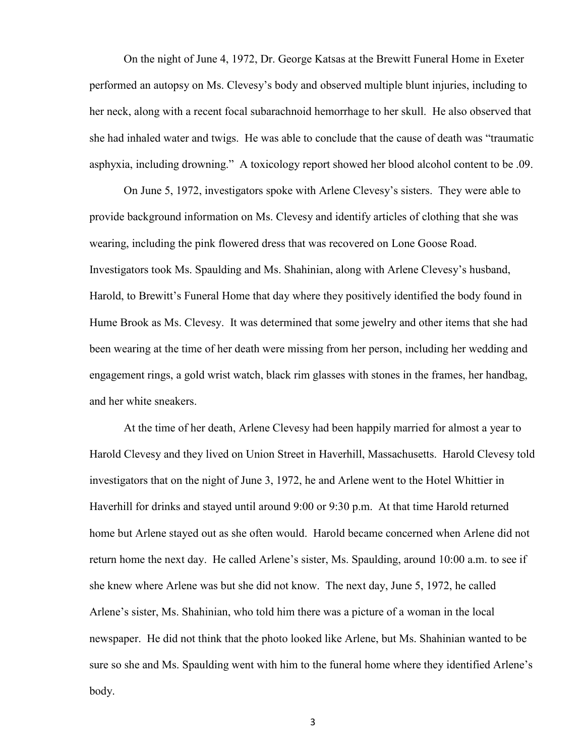On the night of June 4, 1972, Dr. George Katsas at the Brewitt Funeral Home in Exeter performed an autopsy on Ms. Clevesy's body and observed multiple blunt injuries, including to her neck, along with a recent focal subarachnoid hemorrhage to her skull. He also observed that she had inhaled water and twigs. He was able to conclude that the cause of death was "traumatic asphyxia, including drowning." A toxicology report showed her blood alcohol content to be .09.

On June 5, 1972, investigators spoke with Arlene Clevesy's sisters. They were able to provide background information on Ms. Clevesy and identify articles of clothing that she was wearing, including the pink flowered dress that was recovered on Lone Goose Road. Investigators took Ms. Spaulding and Ms. Shahinian, along with Arlene Clevesy's husband, Harold, to Brewitt's Funeral Home that day where they positively identified the body found in Hume Brook as Ms. Clevesy. It was determined that some jewelry and other items that she had been wearing at the time of her death were missing from her person, including her wedding and engagement rings, a gold wrist watch, black rim glasses with stones in the frames, her handbag, and her white sneakers.

At the time of her death, Arlene Clevesy had been happily married for almost a year to Harold Clevesy and they lived on Union Street in Haverhill, Massachusetts. Harold Clevesy told investigators that on the night of June 3, 1972, he and Arlene went to the Hotel Whittier in Haverhill for drinks and stayed until around 9:00 or 9:30 p.m. At that time Harold returned home but Arlene stayed out as she often would. Harold became concerned when Arlene did not return home the next day. He called Arlene's sister, Ms. Spaulding, around 10:00 a.m. to see if she knew where Arlene was but she did not know. The next day, June 5, 1972, he called Arlene's sister, Ms. Shahinian, who told him there was a picture of a woman in the local newspaper. He did not think that the photo looked like Arlene, but Ms. Shahinian wanted to be sure so she and Ms. Spaulding went with him to the funeral home where they identified Arlene's body.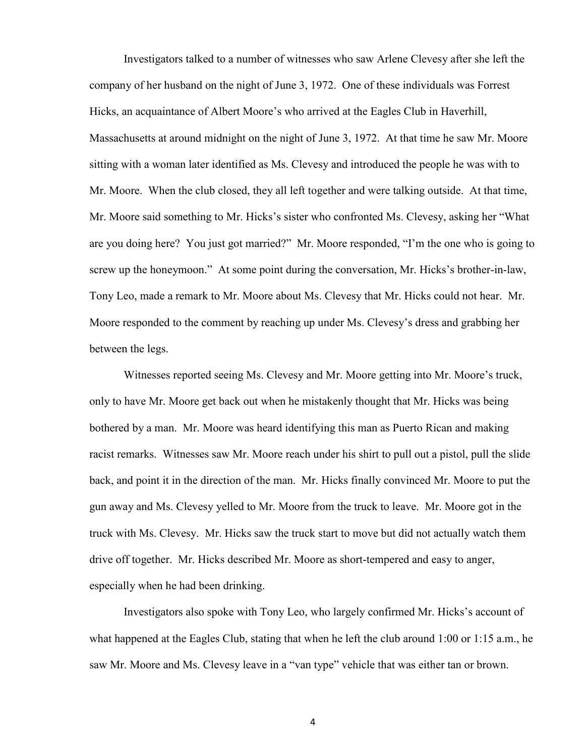Investigators talked to a number of witnesses who saw Arlene Clevesy after she left the company of her husband on the night of June 3, 1972. One of these individuals was Forrest Hicks, an acquaintance of Albert Moore's who arrived at the Eagles Club in Haverhill, Massachusetts at around midnight on the night of June 3, 1972. At that time he saw Mr. Moore sitting with a woman later identified as Ms. Clevesy and introduced the people he was with to Mr. Moore. When the club closed, they all left together and were talking outside. At that time, Mr. Moore said something to Mr. Hicks's sister who confronted Ms. Clevesy, asking her "What are you doing here? You just got married?" Mr. Moore responded, "I'm the one who is going to screw up the honeymoon." At some point during the conversation, Mr. Hicks's brother-in-law, Tony Leo, made a remark to Mr. Moore about Ms. Clevesy that Mr. Hicks could not hear. Mr. Moore responded to the comment by reaching up under Ms. Clevesy's dress and grabbing her between the legs.

Witnesses reported seeing Ms. Clevesy and Mr. Moore getting into Mr. Moore's truck, only to have Mr. Moore get back out when he mistakenly thought that Mr. Hicks was being bothered by a man. Mr. Moore was heard identifying this man as Puerto Rican and making racist remarks. Witnesses saw Mr. Moore reach under his shirt to pull out a pistol, pull the slide back, and point it in the direction of the man. Mr. Hicks finally convinced Mr. Moore to put the gun away and Ms. Clevesy yelled to Mr. Moore from the truck to leave. Mr. Moore got in the truck with Ms. Clevesy. Mr. Hicks saw the truck start to move but did not actually watch them drive off together. Mr. Hicks described Mr. Moore as short-tempered and easy to anger, especially when he had been drinking.

Investigators also spoke with Tony Leo, who largely confirmed Mr. Hicks's account of what happened at the Eagles Club, stating that when he left the club around 1:00 or 1:15 a.m., he saw Mr. Moore and Ms. Clevesy leave in a "van type" vehicle that was either tan or brown.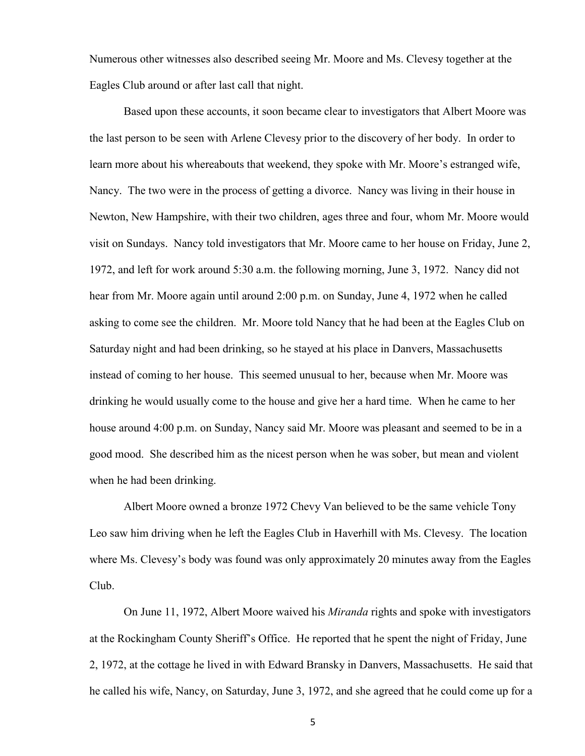Numerous other witnesses also described seeing Mr. Moore and Ms. Clevesy together at the Eagles Club around or after last call that night.

Based upon these accounts, it soon became clear to investigators that Albert Moore was the last person to be seen with Arlene Clevesy prior to the discovery of her body. In order to learn more about his whereabouts that weekend, they spoke with Mr. Moore's estranged wife, Nancy. The two were in the process of getting a divorce. Nancy was living in their house in Newton, New Hampshire, with their two children, ages three and four, whom Mr. Moore would visit on Sundays. Nancy told investigators that Mr. Moore came to her house on Friday, June 2, 1972, and left for work around 5:30 a.m. the following morning, June 3, 1972. Nancy did not hear from Mr. Moore again until around 2:00 p.m. on Sunday, June 4, 1972 when he called asking to come see the children. Mr. Moore told Nancy that he had been at the Eagles Club on Saturday night and had been drinking, so he stayed at his place in Danvers, Massachusetts instead of coming to her house. This seemed unusual to her, because when Mr. Moore was drinking he would usually come to the house and give her a hard time. When he came to her house around 4:00 p.m. on Sunday, Nancy said Mr. Moore was pleasant and seemed to be in a good mood. She described him as the nicest person when he was sober, but mean and violent when he had been drinking.

Albert Moore owned a bronze 1972 Chevy Van believed to be the same vehicle Tony Leo saw him driving when he left the Eagles Club in Haverhill with Ms. Clevesy. The location where Ms. Clevesy's body was found was only approximately 20 minutes away from the Eagles Club.

On June 11, 1972, Albert Moore waived his *Miranda* rights and spoke with investigators at the Rockingham County Sheriff's Office. He reported that he spent the night of Friday, June 2, 1972, at the cottage he lived in with Edward Bransky in Danvers, Massachusetts. He said that he called his wife, Nancy, on Saturday, June 3, 1972, and she agreed that he could come up for a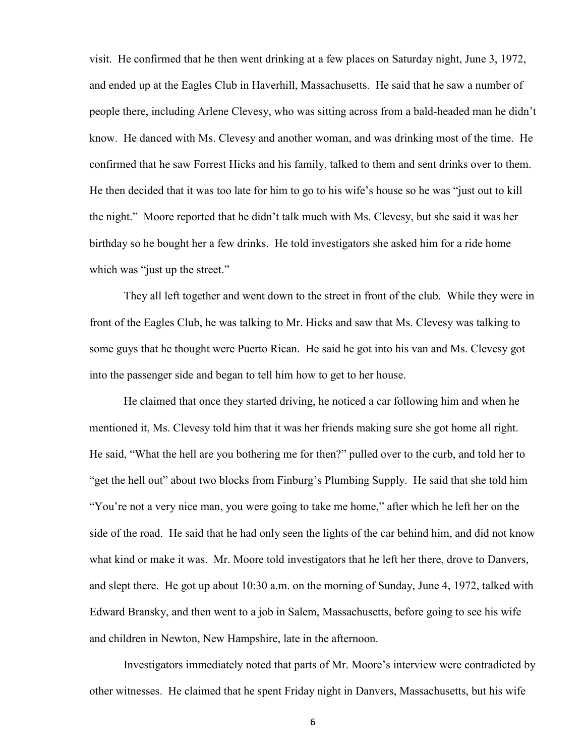visit. He confirmed that he then went drinking at a few places on Saturday night, June 3, 1972, and ended up at the Eagles Club in Haverhill, Massachusetts. He said that he saw a number of people there, including Arlene Clevesy, who was sitting across from a bald-headed man he didn't know. He danced with Ms. Clevesy and another woman, and was drinking most of the time. He confirmed that he saw Forrest Hicks and his family, talked to them and sent drinks over to them. He then decided that it was too late for him to go to his wife's house so he was "just out to kill the night." Moore reported that he didn't talk much with Ms. Clevesy, but she said it was her birthday so he bought her a few drinks. He told investigators she asked him for a ride home which was "just up the street."

They all left together and went down to the street in front of the club. While they were in front of the Eagles Club, he was talking to Mr. Hicks and saw that Ms. Clevesy was talking to some guys that he thought were Puerto Rican. He said he got into his van and Ms. Clevesy got into the passenger side and began to tell him how to get to her house.

He claimed that once they started driving, he noticed a car following him and when he mentioned it, Ms. Clevesy told him that it was her friends making sure she got home all right. He said, "What the hell are you bothering me for then?" pulled over to the curb, and told her to "get the hell out" about two blocks from Finburg's Plumbing Supply. He said that she told him "You're not a very nice man, you were going to take me home," after which he left her on the side of the road. He said that he had only seen the lights of the car behind him, and did not know what kind or make it was. Mr. Moore told investigators that he left her there, drove to Danvers, and slept there. He got up about 10:30 a.m. on the morning of Sunday, June 4, 1972, talked with Edward Bransky, and then went to a job in Salem, Massachusetts, before going to see his wife and children in Newton, New Hampshire, late in the afternoon.

Investigators immediately noted that parts of Mr. Moore's interview were contradicted by other witnesses. He claimed that he spent Friday night in Danvers, Massachusetts, but his wife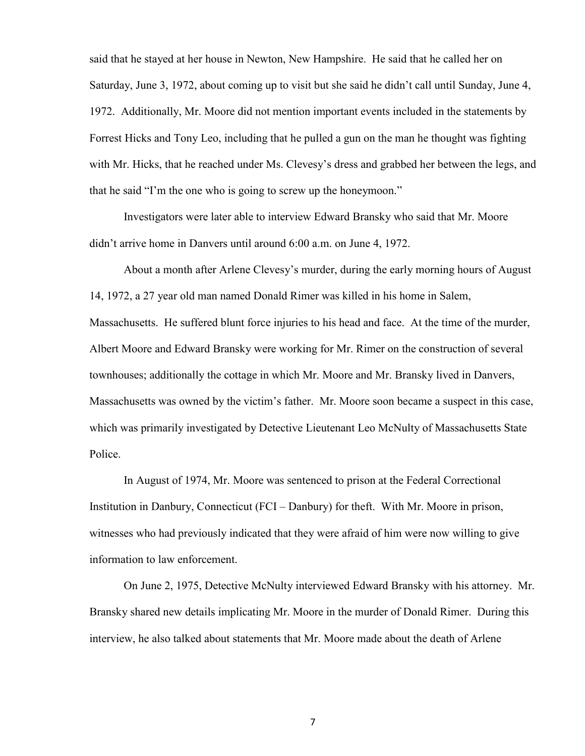said that he stayed at her house in Newton, New Hampshire. He said that he called her on Saturday, June 3, 1972, about coming up to visit but she said he didn't call until Sunday, June 4, 1972. Additionally, Mr. Moore did not mention important events included in the statements by Forrest Hicks and Tony Leo, including that he pulled a gun on the man he thought was fighting with Mr. Hicks, that he reached under Ms. Clevesy's dress and grabbed her between the legs, and that he said "I'm the one who is going to screw up the honeymoon."

Investigators were later able to interview Edward Bransky who said that Mr. Moore didn't arrive home in Danvers until around 6:00 a.m. on June 4, 1972.

About a month after Arlene Clevesy's murder, during the early morning hours of August 14, 1972, a 27 year old man named Donald Rimer was killed in his home in Salem, Massachusetts. He suffered blunt force injuries to his head and face. At the time of the murder, Albert Moore and Edward Bransky were working for Mr. Rimer on the construction of several townhouses; additionally the cottage in which Mr. Moore and Mr. Bransky lived in Danvers, Massachusetts was owned by the victim's father. Mr. Moore soon became a suspect in this case, which was primarily investigated by Detective Lieutenant Leo McNulty of Massachusetts State Police.

In August of 1974, Mr. Moore was sentenced to prison at the Federal Correctional Institution in Danbury, Connecticut (FCI – Danbury) for theft. With Mr. Moore in prison, witnesses who had previously indicated that they were afraid of him were now willing to give information to law enforcement.

On June 2, 1975, Detective McNulty interviewed Edward Bransky with his attorney. Mr. Bransky shared new details implicating Mr. Moore in the murder of Donald Rimer. During this interview, he also talked about statements that Mr. Moore made about the death of Arlene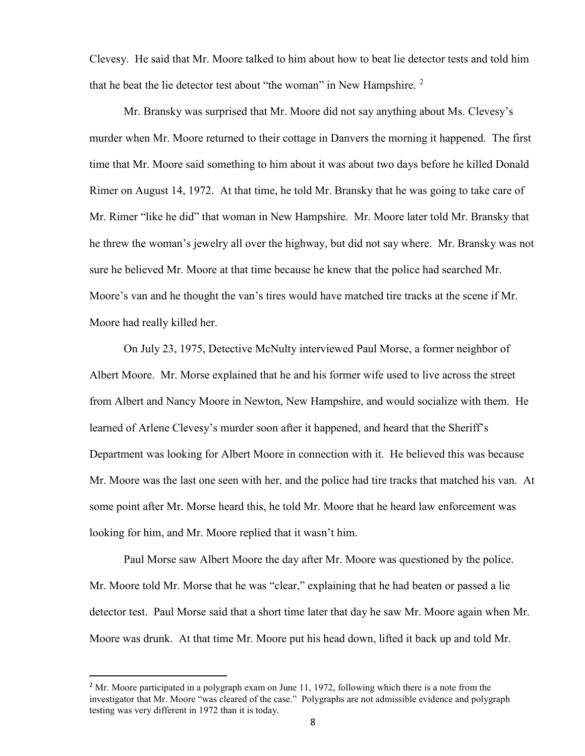Clevesy. He said that Mr. Moore talked to him about how to beat lie detector tests and told him that he beat the lie detector test about "the woman" in New Hampshire.  $2$ 

Mr. Bransky was surprised that Mr. Moore did not say anything about Ms. Clevesy's murder when Mr. Moore returned to their cottage in Danvers the morning it happened. The first time that Mr. Moore said something to him about it was about two days before he killed Donald Rimer on August 14, 1972. At that time, he told Mr. Bransky that he was going to take care of Mr. Rimer "like he did" that woman in New Hampshire. Mr. Moore later told Mr. Bransky that he threw the woman's jewelry all over the highway, but did not say where. Mr. Bransky was not sure he believed Mr. Moore at that time because he knew that the police had searched Mr. Moore's van and he thought the van's tires would have matched tire tracks at the scene if Mr. Moore had really killed her.

On July 23, 1975, Detective McNulty interviewed Paul Morse, a former neighbor of Albert Moore. Mr. Morse explained that he and his former wife used to live across the street from Albert and Nancy Moore in Newton, New Hampshire, and would socialize with them. He learned of Arlene Clevesy's murder soon after it happened, and heard that the Sheriff's Department was looking for Albert Moore in connection with it. He believed this was because Mr. Moore was the last one seen with her, and the police had tire tracks that matched his van. At some point after Mr. Morse heard this, he told Mr. Moore that he heard law enforcement was looking for him, and Mr. Moore replied that it wasn't him.

Paul Morse saw Albert Moore the day after Mr. Moore was questioned by the police. Mr. Moore told Mr. Morse that he was "clear," explaining that he had beaten or passed a lie detector test. Paul Morse said that a short time later that day he saw Mr. Moore again when Mr. Moore was drunk. At that time Mr. Moore put his head down, lifted it back up and told Mr.

<span id="page-7-0"></span> $<sup>2</sup>$  Mr. Moore participated in a polygraph exam on June 11, 1972, following which there is a note from the</sup> investigator that Mr. Moore "was cleared of the case." Polygraphs are not admissible evidence and polygraph testing was very different in 1972 than it is today.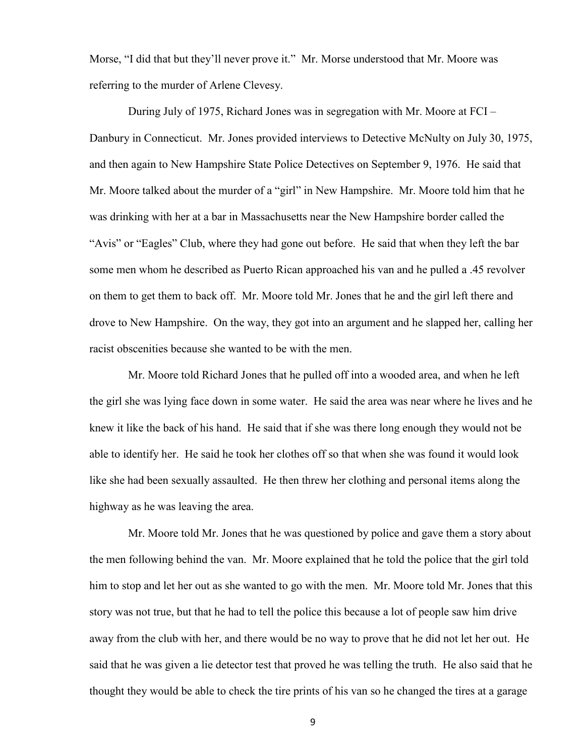Morse, "I did that but they'll never prove it." Mr. Morse understood that Mr. Moore was referring to the murder of Arlene Clevesy.

During July of 1975, Richard Jones was in segregation with Mr. Moore at FCI – Danbury in Connecticut. Mr. Jones provided interviews to Detective McNulty on July 30, 1975, and then again to New Hampshire State Police Detectives on September 9, 1976. He said that Mr. Moore talked about the murder of a "girl" in New Hampshire. Mr. Moore told him that he was drinking with her at a bar in Massachusetts near the New Hampshire border called the "Avis" or "Eagles" Club, where they had gone out before. He said that when they left the bar some men whom he described as Puerto Rican approached his van and he pulled a .45 revolver on them to get them to back off. Mr. Moore told Mr. Jones that he and the girl left there and drove to New Hampshire. On the way, they got into an argument and he slapped her, calling her racist obscenities because she wanted to be with the men.

Mr. Moore told Richard Jones that he pulled off into a wooded area, and when he left the girl she was lying face down in some water. He said the area was near where he lives and he knew it like the back of his hand. He said that if she was there long enough they would not be able to identify her. He said he took her clothes off so that when she was found it would look like she had been sexually assaulted. He then threw her clothing and personal items along the highway as he was leaving the area.

Mr. Moore told Mr. Jones that he was questioned by police and gave them a story about the men following behind the van. Mr. Moore explained that he told the police that the girl told him to stop and let her out as she wanted to go with the men. Mr. Moore told Mr. Jones that this story was not true, but that he had to tell the police this because a lot of people saw him drive away from the club with her, and there would be no way to prove that he did not let her out. He said that he was given a lie detector test that proved he was telling the truth. He also said that he thought they would be able to check the tire prints of his van so he changed the tires at a garage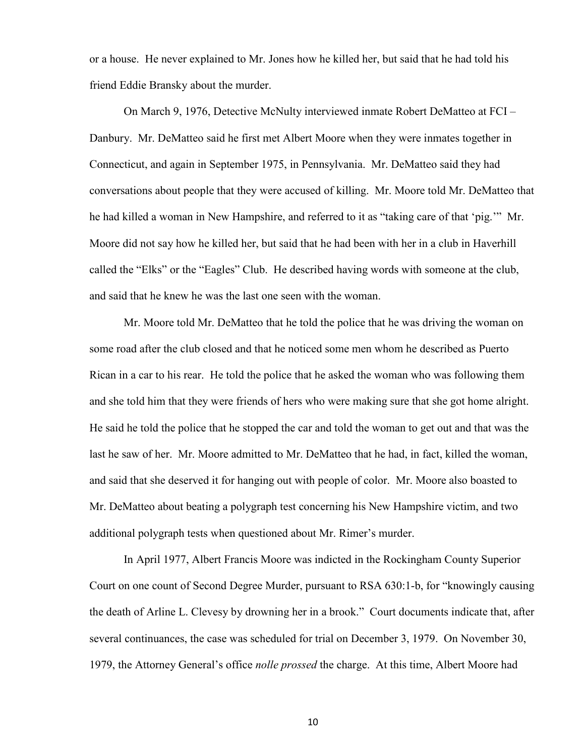or a house. He never explained to Mr. Jones how he killed her, but said that he had told his friend Eddie Bransky about the murder.

On March 9, 1976, Detective McNulty interviewed inmate Robert DeMatteo at FCI – Danbury. Mr. DeMatteo said he first met Albert Moore when they were inmates together in Connecticut, and again in September 1975, in Pennsylvania. Mr. DeMatteo said they had conversations about people that they were accused of killing. Mr. Moore told Mr. DeMatteo that he had killed a woman in New Hampshire, and referred to it as "taking care of that 'pig.'" Mr. Moore did not say how he killed her, but said that he had been with her in a club in Haverhill called the "Elks" or the "Eagles" Club. He described having words with someone at the club, and said that he knew he was the last one seen with the woman.

Mr. Moore told Mr. DeMatteo that he told the police that he was driving the woman on some road after the club closed and that he noticed some men whom he described as Puerto Rican in a car to his rear. He told the police that he asked the woman who was following them and she told him that they were friends of hers who were making sure that she got home alright. He said he told the police that he stopped the car and told the woman to get out and that was the last he saw of her. Mr. Moore admitted to Mr. DeMatteo that he had, in fact, killed the woman, and said that she deserved it for hanging out with people of color. Mr. Moore also boasted to Mr. DeMatteo about beating a polygraph test concerning his New Hampshire victim, and two additional polygraph tests when questioned about Mr. Rimer's murder.

In April 1977, Albert Francis Moore was indicted in the Rockingham County Superior Court on one count of Second Degree Murder, pursuant to RSA 630:1-b, for "knowingly causing the death of Arline L. Clevesy by drowning her in a brook." Court documents indicate that, after several continuances, the case was scheduled for trial on December 3, 1979. On November 30, 1979, the Attorney General's office *nolle prossed* the charge. At this time, Albert Moore had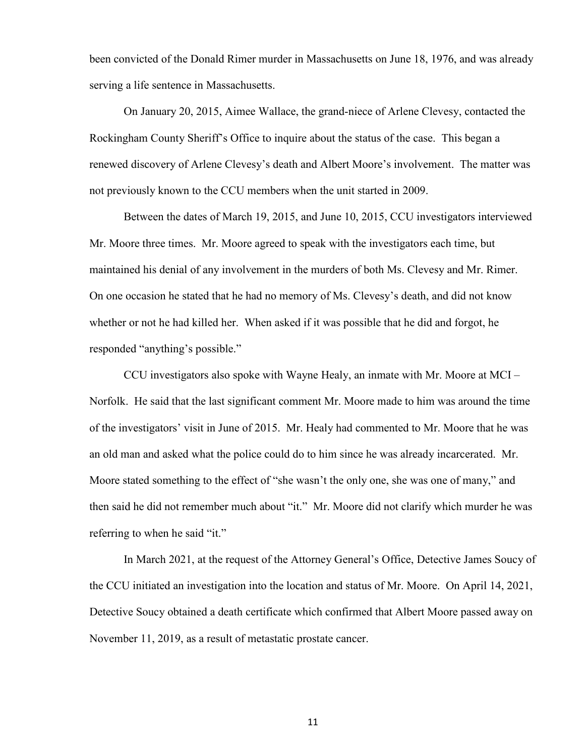been convicted of the Donald Rimer murder in Massachusetts on June 18, 1976, and was already serving a life sentence in Massachusetts.

On January 20, 2015, Aimee Wallace, the grand-niece of Arlene Clevesy, contacted the Rockingham County Sheriff's Office to inquire about the status of the case. This began a renewed discovery of Arlene Clevesy's death and Albert Moore's involvement. The matter was not previously known to the CCU members when the unit started in 2009.

Between the dates of March 19, 2015, and June 10, 2015, CCU investigators interviewed Mr. Moore three times. Mr. Moore agreed to speak with the investigators each time, but maintained his denial of any involvement in the murders of both Ms. Clevesy and Mr. Rimer. On one occasion he stated that he had no memory of Ms. Clevesy's death, and did not know whether or not he had killed her. When asked if it was possible that he did and forgot, he responded "anything's possible."

CCU investigators also spoke with Wayne Healy, an inmate with Mr. Moore at MCI – Norfolk. He said that the last significant comment Mr. Moore made to him was around the time of the investigators' visit in June of 2015. Mr. Healy had commented to Mr. Moore that he was an old man and asked what the police could do to him since he was already incarcerated. Mr. Moore stated something to the effect of "she wasn't the only one, she was one of many," and then said he did not remember much about "it." Mr. Moore did not clarify which murder he was referring to when he said "it."

In March 2021, at the request of the Attorney General's Office, Detective James Soucy of the CCU initiated an investigation into the location and status of Mr. Moore. On April 14, 2021, Detective Soucy obtained a death certificate which confirmed that Albert Moore passed away on November 11, 2019, as a result of metastatic prostate cancer.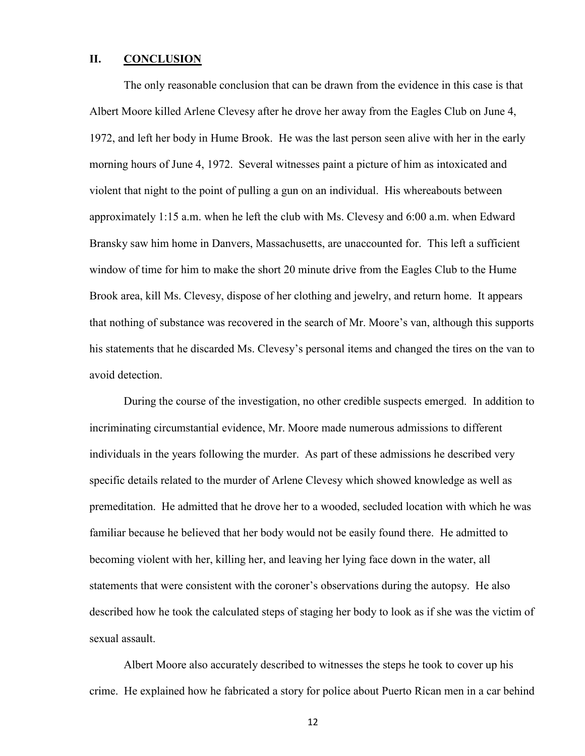## **II. CONCLUSION**

The only reasonable conclusion that can be drawn from the evidence in this case is that Albert Moore killed Arlene Clevesy after he drove her away from the Eagles Club on June 4, 1972, and left her body in Hume Brook. He was the last person seen alive with her in the early morning hours of June 4, 1972. Several witnesses paint a picture of him as intoxicated and violent that night to the point of pulling a gun on an individual. His whereabouts between approximately 1:15 a.m. when he left the club with Ms. Clevesy and 6:00 a.m. when Edward Bransky saw him home in Danvers, Massachusetts, are unaccounted for. This left a sufficient window of time for him to make the short 20 minute drive from the Eagles Club to the Hume Brook area, kill Ms. Clevesy, dispose of her clothing and jewelry, and return home. It appears that nothing of substance was recovered in the search of Mr. Moore's van, although this supports his statements that he discarded Ms. Clevesy's personal items and changed the tires on the van to avoid detection.

During the course of the investigation, no other credible suspects emerged. In addition to incriminating circumstantial evidence, Mr. Moore made numerous admissions to different individuals in the years following the murder. As part of these admissions he described very specific details related to the murder of Arlene Clevesy which showed knowledge as well as premeditation. He admitted that he drove her to a wooded, secluded location with which he was familiar because he believed that her body would not be easily found there. He admitted to becoming violent with her, killing her, and leaving her lying face down in the water, all statements that were consistent with the coroner's observations during the autopsy. He also described how he took the calculated steps of staging her body to look as if she was the victim of sexual assault.

Albert Moore also accurately described to witnesses the steps he took to cover up his crime. He explained how he fabricated a story for police about Puerto Rican men in a car behind